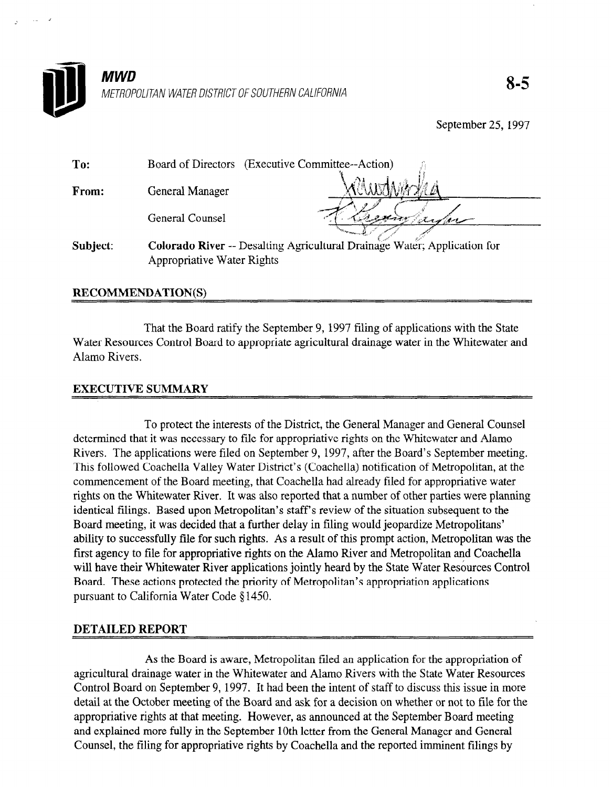

September 25, 1997

| To:      | Board of Directors (Executive Committee--Action) |                                                                          |
|----------|--------------------------------------------------|--------------------------------------------------------------------------|
| From:    | General Manager                                  |                                                                          |
|          | General Counsel                                  |                                                                          |
| Subject: | Appropriative Water Rights                       | Colorado River -- Desalting Agricultural Drainage Water; Application for |

#### RECOMMENDATION(S)

That the Board ratify the September 9, 1997 filing of applications with the State Water Resources Control Board to appropriate agricultural drainage water in the Whitewater and Alamo Rivers.

#### EXECUTIVE SUMMARY

To protect the interests of the District, the General Manager and General Counsel determined that it was necessary to file for a propriative rights of the Whitewater and Alamos of the Whitewater and Alamos of the Whitewater and Alamos of the Whitewater and Alamos of the Whitewater and Alamos of the Whit determined that it was necessary to file for appropriative rights on the Whitewater and Alamo Rivers. The applications were filed on September 9, 1997, after the Board's September meeting. This followed Coachella Valley Water District's (Coachella) notification of Metropolitan, at the commencement of the Board meeting, that Coachella had already filed for appropriative water rights on the Whitewater River. It was also reported that a number of other parties were planning identical filings. Based upon Metropolitan's staff's review of the situation subsequent to the Board meeting, it was decided that a further delay in filing would jeopardize Metropolitans' ability to successfully file for such rights. As a result of this prompt action, Metropolitan was the first agency to file for appropriative rights on the Alamo River and Metropolitan and Coachella will have their Whitewater River applications jointly heard by the State Water Resources Control Board. These actions protected the priority of Metropolitan's appropriation applications pursuant to California Water Code §1450.

#### **DETAILED REPORT**

As the Board is aware, Metropolitan filed an application for the appropriation of agricultural drainage water in the Whitewater and Alamo Rivers with the State Water Resources Control Board on September 9, 1997. It had been the intent of staff to discuss this issue in more detail at the October meeting of the Board and ask for a decision on whether or not to file for the appropriative rights at that meeting. However, as announced at the September Board meeting and explained more fully in the September 10th letter from the General Manager and General Counsel, the filing for appropriative rights by Coachella and the reported imminent filings by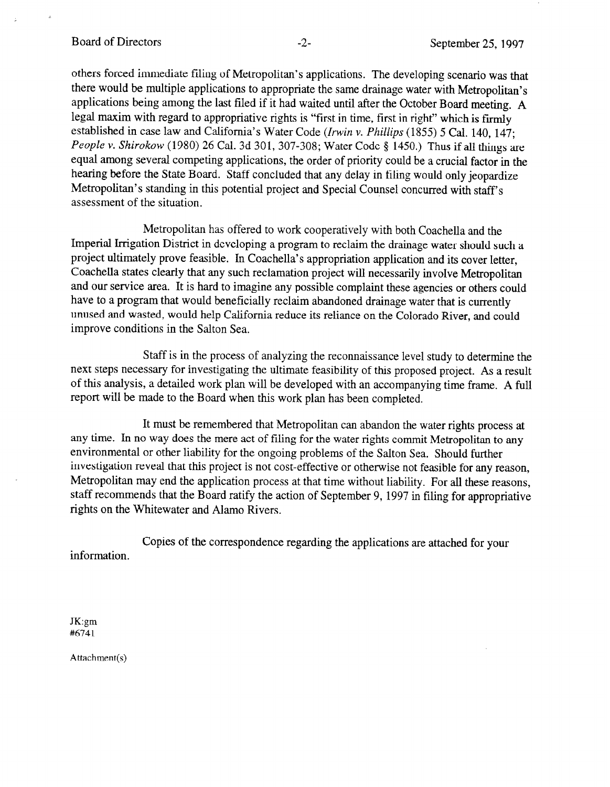#### Board of Directors -2- September 25, 1997

others forced immediate filing of Metropolitan's applications. The developing scenario was that there would be multiple applications to appropriate the same drainage water with Metropolitan's applications being among the last filed if it had waited until after the October Board meeting. A legal maxim with regard to appropriative rights is "first in time, first in right" which is firmly established in case law and California's Water Code (Irwin v. Phillips (1855) 5 Cal. 140, 147; People v. Shirokow (1980) 26 Cal. 3d 301, 307-308; Water Code § 1450.) Thus if all things are equal among several competing applications, the order of priority could be a crucial factor in the hearing before the State Board. Staff concluded that any delay in filing would only jeopardize Metropolitan's standing in this potential project and Special Counsel concurred with staff's assessment of the situation.

Metropolitan has offered to work cooperatively with both Coachella and the Imperial Irrigation District in developing a program to reclaim the drainage water should such a project ultimately prove feasible. In Coachella's appropriation application and its cover letter, Coachella states clearly that any such reclamation project will necessarily involve Metropolitan and our service area. It is hard to imagine any possible complaint these agencies or others could have to a program that would beneficially reclaim abandoned drainage water that is currently unused and wasted, would help California reduce its reliance on the Colorado River, and could improve conditions in the Salton Sea.

Staff is in the process of analyzing the reconnaissance level study to determine the next steps necessary for investigating the ultimate feasibility of this proposed project. As a result of this analysis, a detailed work plan will be developed with an accompanying time frame. A full report will be made to the Board when this work plan has been completed.

It must be remembered that Metropolitan can abandon the water rights process at any time. In no way does the mere act of filing for the water rights commit Metropolitan to any environmental or other liability for the ongoing problems of the Salton Sea. Should further investigation reveal that this project is not cost-effective or otherwise not feasible for any reason, Metropolitan may end the application process at that time without liability. For all these reasons, staff recommends that the Board ratify the action of September 9, 1997 in filing for appropriative rights on the Whitewater and Alamo Rivers.

Copies of the correspondence regarding the applications are attached for your information.

JK:gm #6741

Attachment(s)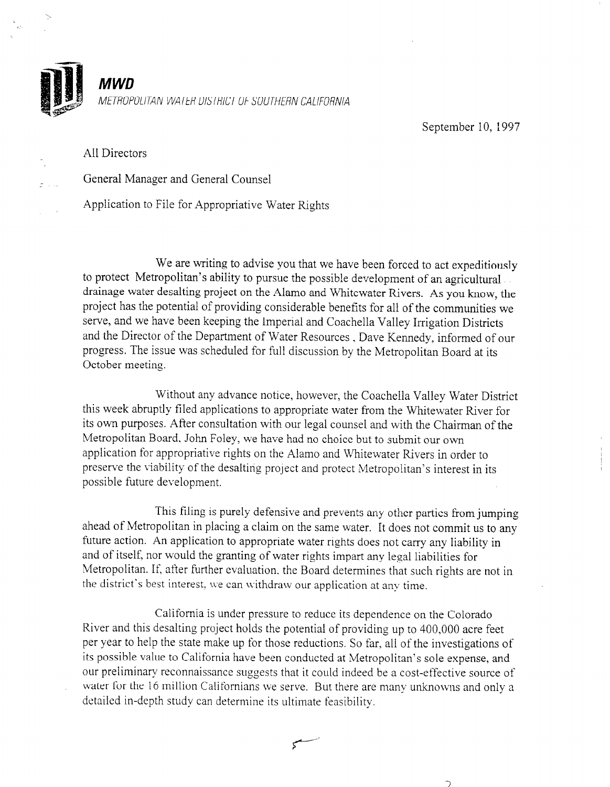

MWD METROPOLITAN WATER DISTRICT OF SOUTHERN CALIFORNIA

September 10, 1997

All Directors

General Manager and General Counsel

Application to File for Appropriative Water Rights

We are writing to advise you that we have been forced to act expeditiously to protect Metropolitan's ability to pursue the possible development of an agricultural drainage water desalting project on the Alamo and Whitewater Rivers. As you know, the project has the potential of providing considerable benefits for all of the communities we serve, and we have been keeping the Imperial and Coachella Valley Irrigation Districts and the Director of the Department of Water Resources , Dave Kennedy, informed of our progress. The issue was scheduled for full discussion by the Metropolitan Board at its October meeting.

Without any advance notice, however, the Coachella Valley Water District this week abruptly filed applications to appropriate water from the Whitewater River for its own purposes. After consultation with our legal counsel and with the Chairman of the Metropolitan Board. John Foley, we have had no choice but to submit our own application for appropriative rights on the Alamo and Whitewater Rivers in order to preserve the viability of the desalting project and protect Metropolitan's interest in its possible future development.

This filing is purely defensive and prevents any other parties from jumping ahead of Metropolitan in placing a claim on the same water. It does not commit us to any future action. An application to appropriate water rights does not carry any liability in and of itself, nor would the granting of water rights impart any legal liabilities for Metropolitan. If, after further evaluation. the Board determines that such rights are not in the district's best interest, we can withdraw our application at any time.

California is under pressure to reduce its dependence on the Colorado River and this desalting project holds the potential of providing up to 400,000 acre feet per year to help the state make up for those reductions. So far, all of the investigations of its possible value to California have been conducted at Metropolitan's sole expense, and our preliminary reconnaissance suggests that it could indeed be a cost-effective source of water for the 16 million Californians we serve. But there are many unknowns and only a detailed in-depth study can determine its ultimate feasibility.

 $\zeta$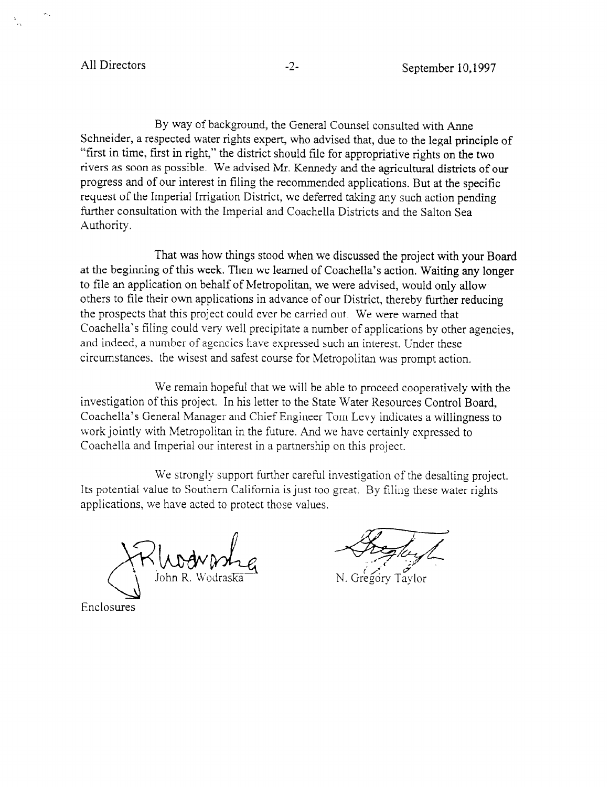By way of background, the General Counsel consulted with Anne Schneider, a respected water rights expert, who advised that, due to the legal principle of "first in time, first in right," the district should file for appropriative rights on the two rivers as soon as possible. We advised Mr. Kennedy and the agricultural districts of our progress and of our interest in filing the recommended applications. But at the specific request of the Imperial Irrigation District, we deferred taking any such action pending further consultation with the Imperial and Coachella Districts and the Salton Sea Authority.

That was how things stood when we discussed the project with your Board at the beginning of this week. Then we learned of Coachella's action. Waiting any longer to file an application on behalf of Metropolitan, we were advised, would only allow others to file their own applications in advance of our District, thereby further reducing the prospects that this project could ever be carried out. We were warned that Coachella's filing could very well precipitate a number of applications by other agencies, and indeed, a number of agencies have expressed such an interest. Under these circumstances. the wisest and safest course for Metropolitan was prompt action.

We remain hopeful that we will be able to proceed cooperatively with the investigation of this project. In his letter to the State Water Resources Control Board, Coachella's General Manager and Chief Engineer Tom Levy indicates a willingness to work jointly with Metropolitan in the future. And we have certainly expressed to Coachella and Imperial our interest in a partnership on this project.

We strongly support further careful investigation of the desalting project, Its potential value to Southern California is just too great. By filing these water rights applications, we have acted to protect those values.

Enclosures

N. Gregory Taylor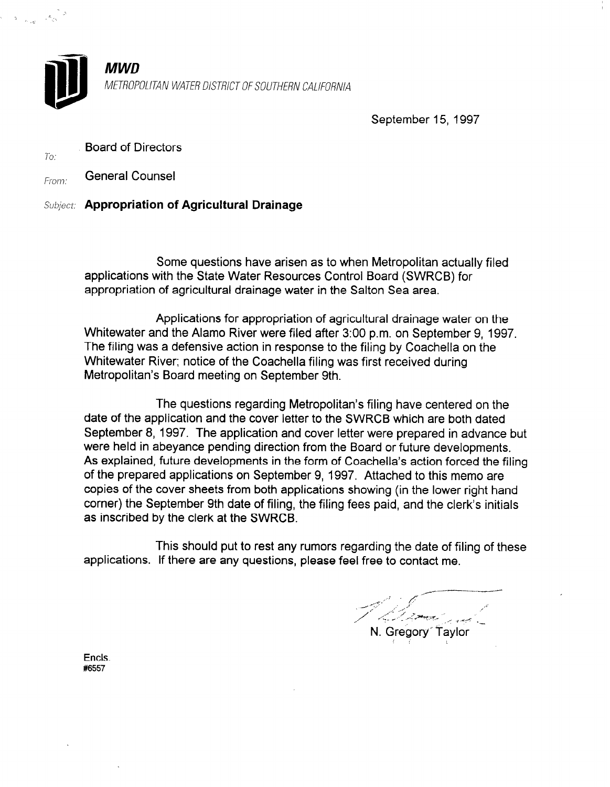

To.

**MWD** METROPOLITAN WATER DISTRICT OF SOUTHERN CALIFORNIA

September 15, 1997

Board of Directors

From: **General Counsel** 

# Subject: Appropriation of Agricultural Drainage

Some questions have arisen as to when Metropolitan actually filed applications with the State Water Resources Control Board (SWRCB) for appropriation of agricultural drainage water in the Salton Sea area.

Applications for appropriation of agricultural drainage water on the Whitewater and the Alamo River were filed after 3:00 p.m. on September 9, 1997. The filing was a defensive action in response to the filing by Coachella on the Whitewater River; notice of the Coachella filing was first received during Metropolitan's Board meeting on September 9th.

The questions regarding Metropolitan's filing have centered on the date of the application and the cover letter to the SWRCB which are both dated September 8, 1997. The application and cover letter were prepared in advance but were held in abeyance pending direction from the Board or future developments. As explained, future developments in the form of Coachella's action forced the filing of the prepared applications on September 9, 1997. Attached to this memo are copies of the cover sheets from both applications showing (in the lower right hand corner) the September 9th date of filing, the filing fees paid, and the clerk's initials as inscribed by the clerk at the SWRCB.

This should put to rest any rumors regarding the date of filing of these applications. If there are any questions, please feel free to contact me.

Encls. #6557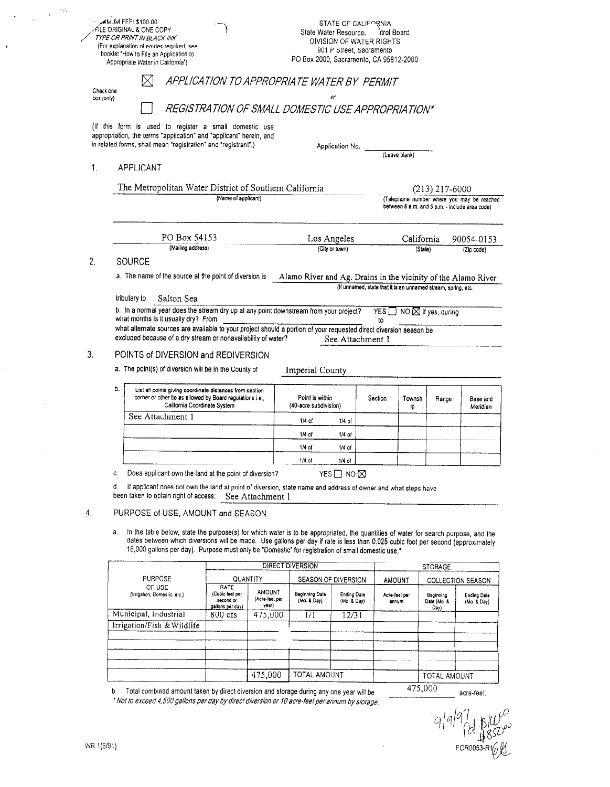|    | <b>MMUM FEE: \$100.00</b><br>FILE ORIGINAL & ONE COPY<br>TYPE OR PRINT IN BLACK INK<br>(For explanation of entries required, see<br>booklet "How to File an Application to<br>Appropriate Water in California*)                                                                                                                                                                                                                                   |                                                                                                                                                       |                                          | State Water Resource:<br>PO Box 2000, Sacramento, CA 95812-2000 |                           | STATE OF CALIFORNIA<br>itrol Board<br>DIVISION OF WATER RIGHTS<br>901 P Street, Sacramento |                |                                                                                              |                            |  |
|----|---------------------------------------------------------------------------------------------------------------------------------------------------------------------------------------------------------------------------------------------------------------------------------------------------------------------------------------------------------------------------------------------------------------------------------------------------|-------------------------------------------------------------------------------------------------------------------------------------------------------|------------------------------------------|-----------------------------------------------------------------|---------------------------|--------------------------------------------------------------------------------------------|----------------|----------------------------------------------------------------------------------------------|----------------------------|--|
|    | M<br>Check one                                                                                                                                                                                                                                                                                                                                                                                                                                    | APPLICATION TO APPROPRIATE WATER BY PERMIT                                                                                                            |                                          |                                                                 | or                        |                                                                                            |                |                                                                                              |                            |  |
|    | box (only)                                                                                                                                                                                                                                                                                                                                                                                                                                        | REGISTRATION OF SMALL DOMESTIC USE APPROPRIATION*                                                                                                     |                                          |                                                                 |                           |                                                                                            |                |                                                                                              |                            |  |
|    | (If this form is used to register a small domestic use<br>appropriation, the terms "application" and "applicant" herein, and<br>in related forms, shall mean "registration" and "registrant".)                                                                                                                                                                                                                                                    |                                                                                                                                                       |                                          |                                                                 | Application No.           |                                                                                            | (Leave blank)  |                                                                                              |                            |  |
| 1. | APPLICANT                                                                                                                                                                                                                                                                                                                                                                                                                                         |                                                                                                                                                       |                                          |                                                                 |                           |                                                                                            |                |                                                                                              |                            |  |
|    | The Metropolitan Water District of Southern California                                                                                                                                                                                                                                                                                                                                                                                            |                                                                                                                                                       |                                          |                                                                 |                           |                                                                                            |                | $(213)$ 217-6000                                                                             |                            |  |
|    |                                                                                                                                                                                                                                                                                                                                                                                                                                                   | (Name of applicant)                                                                                                                                   |                                          |                                                                 |                           |                                                                                            |                | (Telephone number where you may be reached<br>between 8 a.m. and 5 p.m. - include area code) |                            |  |
|    | PO Box 54153                                                                                                                                                                                                                                                                                                                                                                                                                                      |                                                                                                                                                       |                                          |                                                                 | Los Angeles               |                                                                                            | California     |                                                                                              | 90054-0153                 |  |
|    | (Mailing address)                                                                                                                                                                                                                                                                                                                                                                                                                                 |                                                                                                                                                       |                                          |                                                                 | (City or town)            |                                                                                            | (State)        |                                                                                              | (Zip code)                 |  |
| 2. |                                                                                                                                                                                                                                                                                                                                                                                                                                                   | SOURCE<br>a. The name of the source at the point of diversion is<br>Alamo River and Ag. Drains in the vicinity of the Alamo River                     |                                          |                                                                 |                           |                                                                                            |                |                                                                                              |                            |  |
| 3. | Salton Sea<br>tributary to<br>b. In a normal year does the stream dry up at any point downstream from your project?<br>what months is it usually dry? From<br>what alternate sources are available to your project should a portion of your requested direct diversion season be<br>excluded because of a dry stream or nonavailability of water?<br>POINTS of DIVERSION and REDIVERSION<br>a. The point(s) of diversion will be in the County of |                                                                                                                                                       |                                          | Imperial County                                                 |                           | YES $\Box$<br>to<br>See Attachment 1                                                       |                | NO ⊠ if yes, during                                                                          |                            |  |
|    | b.                                                                                                                                                                                                                                                                                                                                                                                                                                                | List all points giving coordinate distances from section<br>corner or other tie as allowed by Board regulations i.e.,<br>California Coordinate System |                                          | Point is within<br>(40-acre subdivision)                        |                           | Section                                                                                    | Townsh<br>ip   | Range                                                                                        | Base and<br>Meridian       |  |
|    | See Attachment 1                                                                                                                                                                                                                                                                                                                                                                                                                                  |                                                                                                                                                       |                                          | $1/4$ of                                                        | 1/4 of                    |                                                                                            |                |                                                                                              |                            |  |
|    |                                                                                                                                                                                                                                                                                                                                                                                                                                                   |                                                                                                                                                       |                                          | $1/4$ of                                                        | $1/4$ of                  |                                                                                            |                |                                                                                              |                            |  |
|    |                                                                                                                                                                                                                                                                                                                                                                                                                                                   |                                                                                                                                                       |                                          | $1/4$ of                                                        | 1/4 of                    |                                                                                            |                |                                                                                              |                            |  |
|    |                                                                                                                                                                                                                                                                                                                                                                                                                                                   |                                                                                                                                                       |                                          | 1/4 of                                                          |                           |                                                                                            |                |                                                                                              |                            |  |
|    | Does applicant own the land at the point of diversion?<br>C.<br>d.<br>If applicant does not own the land at point of diversion, state name and address of owner and what steps have<br>been taken to obtain right of access:                                                                                                                                                                                                                      |                                                                                                                                                       | See Attachment 1                         |                                                                 | YES $\Box$ NO $\boxtimes$ |                                                                                            |                |                                                                                              |                            |  |
| 4. | PURPOSE of USE, AMOUNT and SEASON                                                                                                                                                                                                                                                                                                                                                                                                                 |                                                                                                                                                       |                                          |                                                                 |                           |                                                                                            |                |                                                                                              |                            |  |
|    | In the table below, state the purpose(s) for which water is to be appropriated, the quantities of water for search purpose, and the<br>а.<br>dates between which diversions will be made. Use gallons per day if rate is less than 0.025 cubic foot per second (approximately<br>16,000 gallons per day). Purpose must only be "Domestic" for registration of small domestic use."                                                                |                                                                                                                                                       |                                          |                                                                 |                           |                                                                                            |                |                                                                                              |                            |  |
|    |                                                                                                                                                                                                                                                                                                                                                                                                                                                   |                                                                                                                                                       |                                          | DIRECT DIVERSION                                                |                           |                                                                                            | <b>STORAGE</b> |                                                                                              |                            |  |
|    | PURPOSE<br>OF USE                                                                                                                                                                                                                                                                                                                                                                                                                                 | RATE                                                                                                                                                  | QUANTITY                                 | SEASON OF DIVERSION                                             |                           | <b>AMOUNT</b>                                                                              |                |                                                                                              | <b>COLLECTION SEASON</b>   |  |
|    | (Irrigation, Domestic, etc.)                                                                                                                                                                                                                                                                                                                                                                                                                      | (Cubic feet per<br>second or<br>gallons per day)                                                                                                      | <b>AMOUNT</b><br>(Acre-feel per<br>year) | <b>Beginning Date</b><br>(Mo. & Day)                            | Ending Date<br>(Mo & Day) | Acre-feet per<br>annum                                                                     |                | Boginning<br>Dale (Mo &<br>Day)                                                              | Ending Dale<br>(Mo. & Day) |  |
|    | Municipal, Industrial<br>Irrigation/Fish & Wildlife                                                                                                                                                                                                                                                                                                                                                                                               | $800 \text{ cfs}$                                                                                                                                     | 475,000                                  | 1/1                                                             | 12/31                     |                                                                                            |                |                                                                                              |                            |  |
|    |                                                                                                                                                                                                                                                                                                                                                                                                                                                   |                                                                                                                                                       |                                          |                                                                 |                           |                                                                                            |                |                                                                                              |                            |  |
|    |                                                                                                                                                                                                                                                                                                                                                                                                                                                   |                                                                                                                                                       |                                          |                                                                 |                           |                                                                                            |                |                                                                                              |                            |  |
|    |                                                                                                                                                                                                                                                                                                                                                                                                                                                   |                                                                                                                                                       |                                          |                                                                 |                           |                                                                                            |                |                                                                                              |                            |  |
|    |                                                                                                                                                                                                                                                                                                                                                                                                                                                   |                                                                                                                                                       | 475,000                                  | TOTAL AMOUNT                                                    |                           |                                                                                            |                | TOTAL AMOUNT                                                                                 |                            |  |

b. Total combined amount taken by direct diversion and storage during any one year will be ' Nol to exceed 4,500 gallons per day by direcl diversion or IO acre- feel per annum by sforage.

 $q|q|q$   $\frac{1}{2}$   $\frac{1}{1850^o}$ 

acre-feet.

475,000

 $\cdot$ 

 $\sim 10^6$ 

 $\hat{\phi}$  $\frac{1}{2}$ 

 $\ddot{\mathrm{t}}$ 

 $\hat{\boldsymbol{\gamma}}$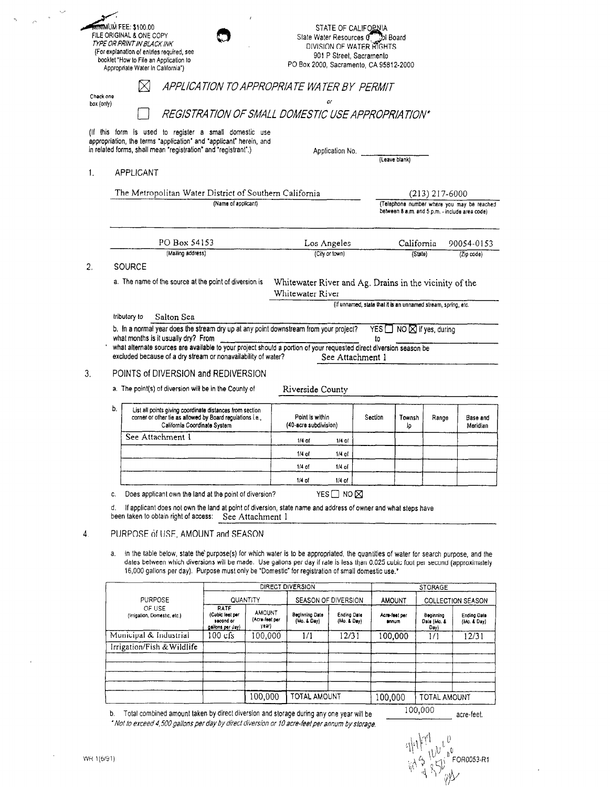|            |                                                                | <del>ด้าง</del> าเพิ่มM FEE: \$100.00                                                                                                                                                                                                 |                                     |                                 |                                                        |                 | STATE OF CALIFORNIA                                            |                                |                                          |                                                |  |
|------------|----------------------------------------------------------------|---------------------------------------------------------------------------------------------------------------------------------------------------------------------------------------------------------------------------------------|-------------------------------------|---------------------------------|--------------------------------------------------------|-----------------|----------------------------------------------------------------|--------------------------------|------------------------------------------|------------------------------------------------|--|
|            |                                                                | FILE ORIGINAL & ONE COPY<br>TYPE OR PRINT IN BLACK INK                                                                                                                                                                                |                                     |                                 |                                                        |                 | State Water Resources 0. Jol Board<br>DIVISION OF WATER RIGHTS |                                |                                          |                                                |  |
|            |                                                                | (For explanation of entries required, see                                                                                                                                                                                             |                                     |                                 | 901 P Street, Sacramento                               |                 |                                                                |                                |                                          |                                                |  |
|            |                                                                | booklet 'How to File an Application to<br>Appropriate Water In California*)                                                                                                                                                           |                                     |                                 | PO Box 2000, Sacramento, CA 95812-2000                 |                 |                                                                |                                |                                          |                                                |  |
| Check one  |                                                                |                                                                                                                                                                                                                                       |                                     |                                 | APPLICATION TO APPROPRIATE WATER BY PERMIT             |                 |                                                                |                                |                                          |                                                |  |
| box (only) |                                                                |                                                                                                                                                                                                                                       |                                     |                                 |                                                        | ۵r              |                                                                |                                |                                          |                                                |  |
|            |                                                                |                                                                                                                                                                                                                                       |                                     |                                 | REGISTRATION OF SMALL DOMESTIC USE APPROPRIATION*      |                 |                                                                |                                |                                          |                                                |  |
|            |                                                                | (If this form is used to register a small domestic use                                                                                                                                                                                |                                     |                                 |                                                        |                 |                                                                |                                |                                          |                                                |  |
|            |                                                                | appropriation, the terms "application" and "applicant" herein, and                                                                                                                                                                    |                                     |                                 |                                                        |                 |                                                                |                                |                                          |                                                |  |
|            | in related forms, shall mean "registration" and "registrant".) |                                                                                                                                                                                                                                       |                                     |                                 |                                                        | Application No. |                                                                |                                |                                          |                                                |  |
|            |                                                                |                                                                                                                                                                                                                                       |                                     |                                 |                                                        |                 |                                                                | (Leave blank)                  |                                          |                                                |  |
| 1.         |                                                                | APPLICANT                                                                                                                                                                                                                             |                                     |                                 |                                                        |                 |                                                                |                                |                                          |                                                |  |
|            |                                                                |                                                                                                                                                                                                                                       |                                     |                                 |                                                        |                 |                                                                |                                |                                          |                                                |  |
|            |                                                                | The Metropolitan Water District of Southern California                                                                                                                                                                                |                                     |                                 |                                                        |                 |                                                                |                                | $(213)$ 217-6000                         | (Telephone number where you may be reached     |  |
|            |                                                                | (Name of applicant)                                                                                                                                                                                                                   |                                     |                                 |                                                        |                 |                                                                |                                |                                          | between 8 a.m. and 5 p.m. - include area code) |  |
|            |                                                                |                                                                                                                                                                                                                                       |                                     |                                 |                                                        |                 |                                                                |                                |                                          |                                                |  |
|            |                                                                | PO Box 54153<br>(Mailing address)                                                                                                                                                                                                     |                                     |                                 |                                                        | Los Angeles     |                                                                | California                     |                                          | 90054-0153                                     |  |
|            |                                                                |                                                                                                                                                                                                                                       |                                     |                                 | (City or town)                                         |                 |                                                                | (State)                        |                                          | (Zip code)                                     |  |
| 2.         |                                                                | SOURCE                                                                                                                                                                                                                                |                                     |                                 |                                                        |                 |                                                                |                                |                                          |                                                |  |
|            |                                                                | a. The name of the source at the point of diversion is                                                                                                                                                                                |                                     |                                 | Whitewater River and Ag. Drains in the vicinity of the |                 |                                                                |                                |                                          |                                                |  |
|            |                                                                |                                                                                                                                                                                                                                       |                                     |                                 | Whitewater River                                       |                 |                                                                |                                |                                          |                                                |  |
|            |                                                                |                                                                                                                                                                                                                                       |                                     |                                 |                                                        |                 | (If unnamed, state that it is an unnamed stream, spring, etc.  |                                |                                          |                                                |  |
|            |                                                                | Salton Sea<br>tributary to                                                                                                                                                                                                            |                                     |                                 |                                                        |                 |                                                                |                                |                                          |                                                |  |
|            |                                                                | b. In a normal year does the stream dry up at any point downstream from your project?                                                                                                                                                 |                                     |                                 |                                                        |                 |                                                                |                                | YES $\Box$ NO $\boxtimes$ if yes, during |                                                |  |
|            |                                                                | what months is it usually dry? From                                                                                                                                                                                                   |                                     |                                 |                                                        |                 | to                                                             |                                |                                          |                                                |  |
|            |                                                                | what alternate sources are available to your project should a portion of your requested direct diversion season be<br>excluded because of a dry stream or nonavailability of water?<br>See Attachment 1                               |                                     |                                 |                                                        |                 |                                                                |                                |                                          |                                                |  |
|            |                                                                |                                                                                                                                                                                                                                       |                                     |                                 |                                                        |                 |                                                                |                                |                                          |                                                |  |
| 3.         |                                                                | POINTS of DIVERSION and REDIVERSION                                                                                                                                                                                                   |                                     |                                 |                                                        |                 |                                                                |                                |                                          |                                                |  |
|            |                                                                | a. The point(s) of diversion will be in the County of<br>Riverside County                                                                                                                                                             |                                     |                                 |                                                        |                 |                                                                |                                |                                          |                                                |  |
|            |                                                                |                                                                                                                                                                                                                                       |                                     |                                 |                                                        |                 |                                                                |                                |                                          |                                                |  |
|            | b.                                                             | List all points giving coordinate distances from section                                                                                                                                                                              |                                     |                                 |                                                        |                 |                                                                | Section<br>Townsh              |                                          |                                                |  |
|            |                                                                | corner or other tie as allowed by Board regulations i.e.,<br>California Coordinate System                                                                                                                                             |                                     |                                 | Point is within<br>(40-acre subdivision)               |                 |                                                                | ٥l                             | Range                                    | Base and<br>Meridian                           |  |
|            |                                                                | See Attachment 1                                                                                                                                                                                                                      |                                     |                                 |                                                        |                 |                                                                |                                |                                          |                                                |  |
|            |                                                                |                                                                                                                                                                                                                                       |                                     |                                 | $1/4$ of                                               | $1/4$ of        |                                                                |                                |                                          |                                                |  |
|            |                                                                |                                                                                                                                                                                                                                       |                                     |                                 | $1/4$ of                                               | $1/4$ of        |                                                                |                                |                                          |                                                |  |
|            |                                                                |                                                                                                                                                                                                                                       |                                     |                                 | $1/4$ of                                               | $1/4$ of        |                                                                |                                |                                          |                                                |  |
|            |                                                                |                                                                                                                                                                                                                                       |                                     |                                 | $1/4$ of                                               | $1/4$ of        |                                                                |                                |                                          |                                                |  |
|            | C.                                                             | Does applicant own the land at the point of diversion?                                                                                                                                                                                |                                     | YES $\Box$ NO $\boxtimes$       |                                                        |                 |                                                                |                                |                                          |                                                |  |
|            | đ.                                                             | If applicant does not own the land at point of diversion, state name and address of owner and what steps have                                                                                                                         |                                     |                                 |                                                        |                 |                                                                |                                |                                          |                                                |  |
|            |                                                                | been taken to obtain right of access:                                                                                                                                                                                                 |                                     | See Attachment 1                |                                                        |                 |                                                                |                                |                                          |                                                |  |
|            |                                                                |                                                                                                                                                                                                                                       |                                     |                                 |                                                        |                 |                                                                |                                |                                          |                                                |  |
|            |                                                                | PURPOSE of USE, AMOUNT and SEASON                                                                                                                                                                                                     |                                     |                                 |                                                        |                 |                                                                |                                |                                          |                                                |  |
|            |                                                                | in the table below, state the purpose(s) for which water is to be appropriated, the quantities of water for search purpose, and the                                                                                                   |                                     |                                 |                                                        |                 |                                                                |                                |                                          |                                                |  |
|            |                                                                |                                                                                                                                                                                                                                       |                                     |                                 |                                                        |                 |                                                                |                                |                                          |                                                |  |
|            | a.                                                             |                                                                                                                                                                                                                                       |                                     |                                 |                                                        |                 |                                                                |                                |                                          |                                                |  |
|            |                                                                | dates between which diversions will be made. Use gallons per day if rate is less than 0.025 cubic foot per second (approximately<br>16,000 gallons per day). Purpose must only be "Domestic" for registration of small domestic use.* |                                     |                                 |                                                        |                 |                                                                |                                |                                          |                                                |  |
|            |                                                                |                                                                                                                                                                                                                                       |                                     |                                 |                                                        |                 |                                                                |                                |                                          |                                                |  |
|            |                                                                |                                                                                                                                                                                                                                       |                                     |                                 | DIRECT DIVERSION                                       |                 |                                                                |                                | STORAGE                                  |                                                |  |
|            |                                                                | PURPOSE<br>OF USE<br>(Irrigation, Domestic, etc.)                                                                                                                                                                                     | QUANTITY<br>RATE<br>(Cubic feet per | <b>AMOUNT</b><br>(Acre-leet per | SEASON OF DIVERSION<br>Beginning Date                  | Ending Dale     |                                                                | <b>AMOUNT</b><br>Acre-feet per | Beginning                                | <b>COLLECTION SEASON</b><br>Ending Date        |  |
|            |                                                                |                                                                                                                                                                                                                                       | second or<br>gallons per Jay)       | year)                           | (Mo. & Day)                                            | (Mo. & Day)     |                                                                | annum                          | Date (Mo. &<br>Day)                      | (Mo. & Day)                                    |  |
|            |                                                                | Municipal & Industrial                                                                                                                                                                                                                | $100$ cfs                           | 100,000                         | 1/1                                                    | 12/31           |                                                                | 100,000                        | 1/1                                      | 12/31                                          |  |
|            |                                                                | Irrigation/Fish & Wildlife                                                                                                                                                                                                            |                                     |                                 |                                                        |                 |                                                                |                                |                                          |                                                |  |
|            |                                                                |                                                                                                                                                                                                                                       |                                     |                                 |                                                        |                 |                                                                |                                |                                          |                                                |  |
|            |                                                                |                                                                                                                                                                                                                                       |                                     |                                 |                                                        |                 |                                                                |                                |                                          |                                                |  |
|            |                                                                |                                                                                                                                                                                                                                       |                                     |                                 |                                                        |                 |                                                                |                                |                                          |                                                |  |
|            |                                                                |                                                                                                                                                                                                                                       |                                     | 100,000                         | <b>TOTAL AMOUNT</b>                                    |                 | 100,000                                                        |                                | TOTAL AMOUNT                             |                                                |  |

b. Total combined amount taken by direct diversion and storage during any one year will be<br>\* Not to exceed 4,500 gallons per day by direct diversion or 10 acre-feel per annum by storage.

 $\begin{array}{l} \begin{array}{c} \mathcal{C}_{1} \rightarrow \mathcal{C}_{2} \rightarrow \mathcal{C}_{3} \rightarrow \mathcal{C}_{4} \rightarrow \mathcal{C}_{5} \rightarrow \mathcal{C}_{5} \rightarrow \mathcal{C}_{6} \rightarrow \mathcal{C}_{7} \rightarrow \mathcal{C}_{7} \rightarrow \mathcal{C}_{8} \rightarrow \mathcal{C}_{9} \rightarrow \mathcal{C}_{9} \rightarrow \mathcal{C}_{9} \rightarrow \mathcal{C}_{9} \rightarrow \mathcal{C}_{9} \rightarrow \mathcal{C}_{9} \rightarrow \mathcal{C}_{9} \rightarrow \mathcal{C}_{9} \rightarrow \mathcal{C}_{9} \rightarrow \mathcal{C}_{9} \rightarrow \mathcal{C}_{$ 

acre-feet.

 $\bar{r}$ 

 $\bar{t}$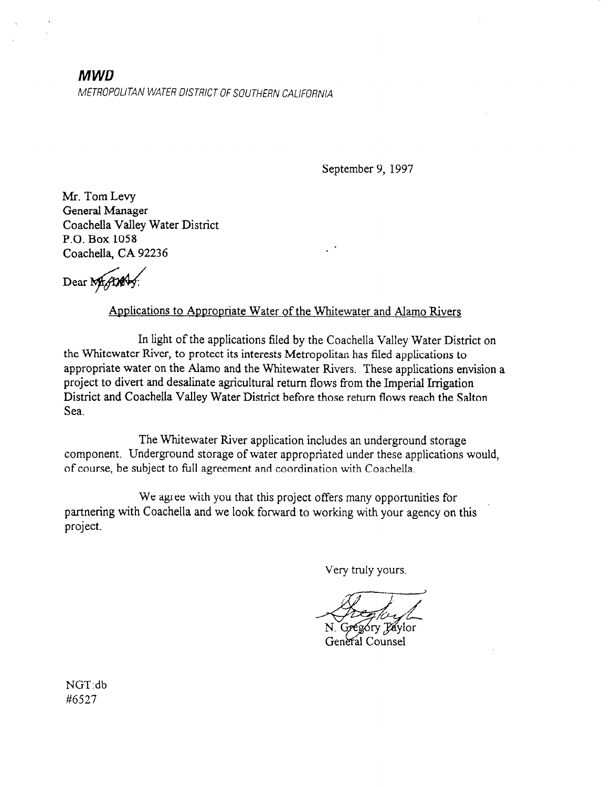# MWD METROPOLITAN WATER DISTRICT OF SOUTHERN CALIFORNIA

September 9, 1997

Mr. Tom Levy General Manager Coachella Valley Water District P.0. Box 1058 Coachella, CA 92236

Dear Mr.An

## Applications to Appropriate Water of the Whitewater and Alamo Rivers

In light of the applications filed by the Coachella Valley Water District on the Whitewater River, to protect its interests Metropolitan has filed applications to appropriate water on the Alamo and the Whitewater Rivers. These applications envision a project to divert and desalinate agricultural return flows from the Imperial Irrigation District and Coachella Valley Water District before those return flows reach the Salton Sea.

The Whitewater River application includes an underground storage component. Underground storage of water appropriated under these applications would, of course, be subject to full agreement and coordination with Coachella.

We agree with you that this project offers many opportunities for partnering with Coachella and we look forward to working with your agency on this project.

Very truly yours.

góry Páylor General Counsel

NGT:db #6527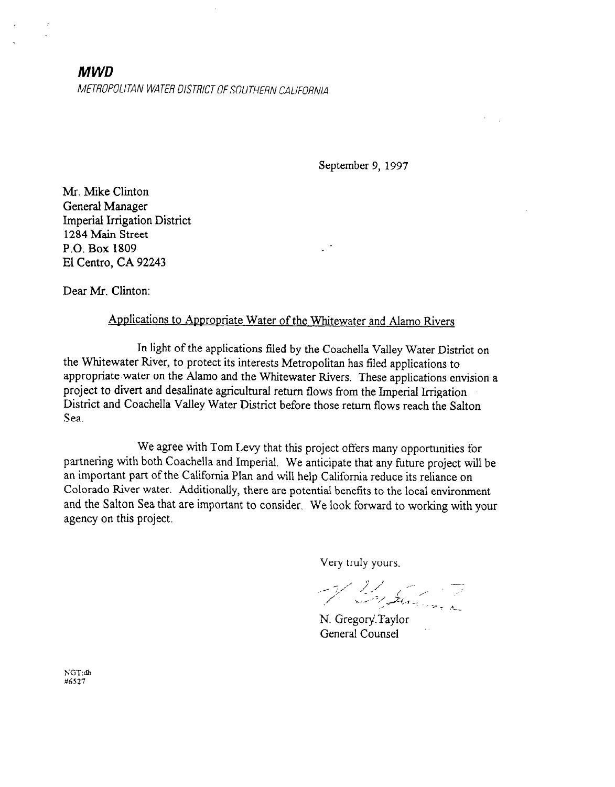# MWD METROPOLITAN WATER DISTRICT OF SOUTHERN CALIFORNIA

September 9, 1997

Mr. Mike Clinton General Manager Imperial Irrigation District 1284 Main Street P.O. Box 1809 El Centro, CA 92243

Dear Mr. Clinton:

## Applications to Appropriate Water of the Whitewater and Alamo Rivers

In light of the applications filed by the Coachella Valley Water District on the Whitewater River, to protect its interests Metropolitan has filed applications to appropriate water on the Alamo and the Whitewater Rivers. These applications envision a project to divert and desalinate agricultural return flows from the Imperial Irrigation District and Coachella Valley Water District before those return flows reach the Salton Sea.

We agree with Tom Levy that this project offers many opportunities for partnering with both Coachella and Imperial. We anticipate that any future project will be an important part of the California Plan and will help California reduce its reliance on Colorado River water. Additionally, there are potential benefits to the local environment and the Salton Sea that are important to consider. We look forward to working with your agency on this project.

Very truly yours.

Windows The

N. Gregory Taylor General Counsel

NGT:db #6527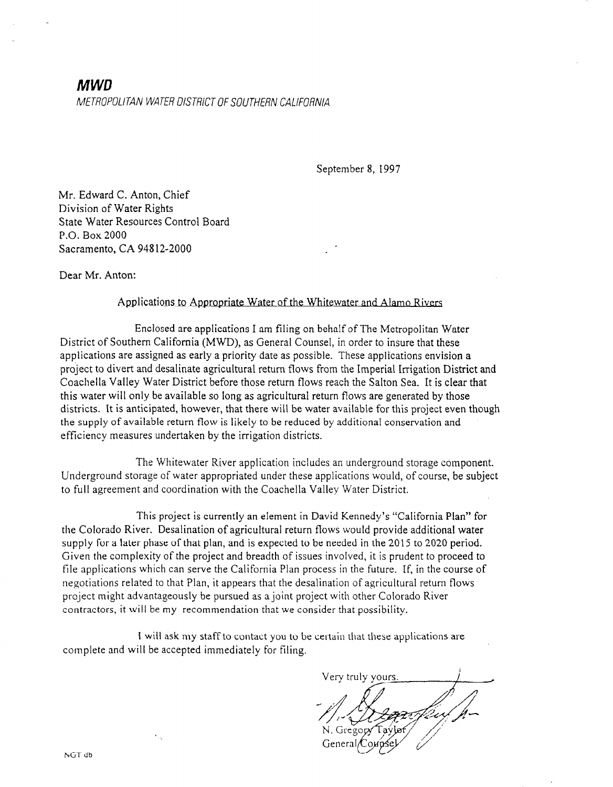# **MWD**<br>METROPOLITAN WATER DISTRICT OF SOUTHERN CALIFORNIA

September 8, 1997

Mr. Edward C. Anton, Chief Division of Water Rights State Water Resources Control Board P.O. Box 2000 Sacramento, CA 948 12-2000

Dear Mr. Anton:

#### Applications to Aopcooriate Water of the Whitewater and Alamo Rivers

Enclosed are applications I am filing on behalf of The Metropolitan Water District of Southern California (MWD), as General Counsel, in order to insure that these applications are assigned as early a priority date as possible. These applications envision a project to divert and desalinate agricultural return flows from the Imperial trrigation District and Coachella Valley Water District before those return flows reach the Salton Sea. It is clear that this water will only be available so long as agricultural return flows are generated by those districts. It is anticipated, however, that there will be water available' for this project even though the supply of available return flow is likely to be reduced by additional conservation and efficiency measures undertaken by the irrigation districts.

The Whitewater River application includes an underground storage component. Underground storage of water appropriated under these applications would, of course, be subject to full agreement and coordination with the Coachella Valley Water District.

This project is currently an element in David Kennedy's "California Plan" for the Colorado River. Desalination of agricultural return flows would provide additional water supply for a later phase of that plan, and is expected to be needed in the 2015 to 2020 period. Given the complexity of the project and breadth of issues involved, it is prudent to proceed to file applications which can serve the California Plan process in the future. tf, in the course of negotiations related to that Plan, it appears that the desalination of agricultural return flows project might advantageously be pursued as a joint project with other Colorado River contractors, it will be my recommendation that we consider that possibility.

1 will ask my staff to contact you to be certain that these applications are complete and will be accepted immediately for filing.

.<br>Very truly yours

 $\epsilon_{\rm max}$